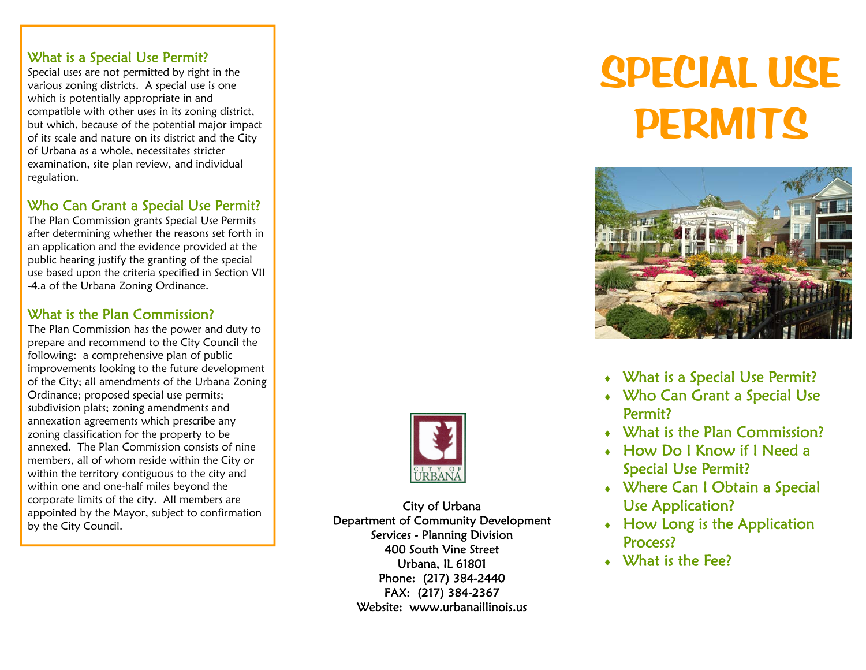#### What is a Special Use Permit?

Special uses are not permitted by right in the various zoning districts. A special use is one which is potentially appropriate in and compatible with other uses in its zoning district, but which, because of the potential major impact of its scale and nature on its district and the City of Urbana as a whole, necessitates stricter examination, site plan review, and individual regulation.

### Who Can Grant a Special Use Permit?

The Plan Commission grants Special Use Permits after determining whether the reasons set forth in an application and the evidence provided at the public hearing justify the granting of the special use based upon the criteria specified in Section VII -4.a of the Urbana Zoning Ordinance.

#### What is the Plan Commission?

The Plan Commission has the power and duty to prepare and recommend to the City Council the following: a comprehensive plan of public improvements looking to the future development of the City; all amendments of the Urbana Zoning Ordinance; proposed special use permits; subdivision plats; zoning amendments and annexation agreements which prescribe any zoning classification for the property to be annexed. The Plan Commission consists of nine members, all of whom reside within the City or within the territory contiguous to the city and within one and one-half miles beyond the corporate limits of the city. All members are appointed by the Mayor, subject to confirmation by the City Council.

City of Urbana Department of Community Development Services - Planning Division 400 South Vine Street Urbana, IL 61801 Phone: (217) 384-2440 FAX: (217) 384-2367 Website: www.urbanaillinois.us

# **SPECIAL USE PERMITS**



- What is a Special Use Permit?
- ♦ Who Can Grant a Special Use Permit?
- $\bullet$  What is the Plan Commission?
- ♦ How Do I Know if I Need a Special Use Permit?
- Where Can I Obtain a Special Use Application?
- $\triangleleft$  How Long is the Application Process?
- $\bullet$  What is the Fee?